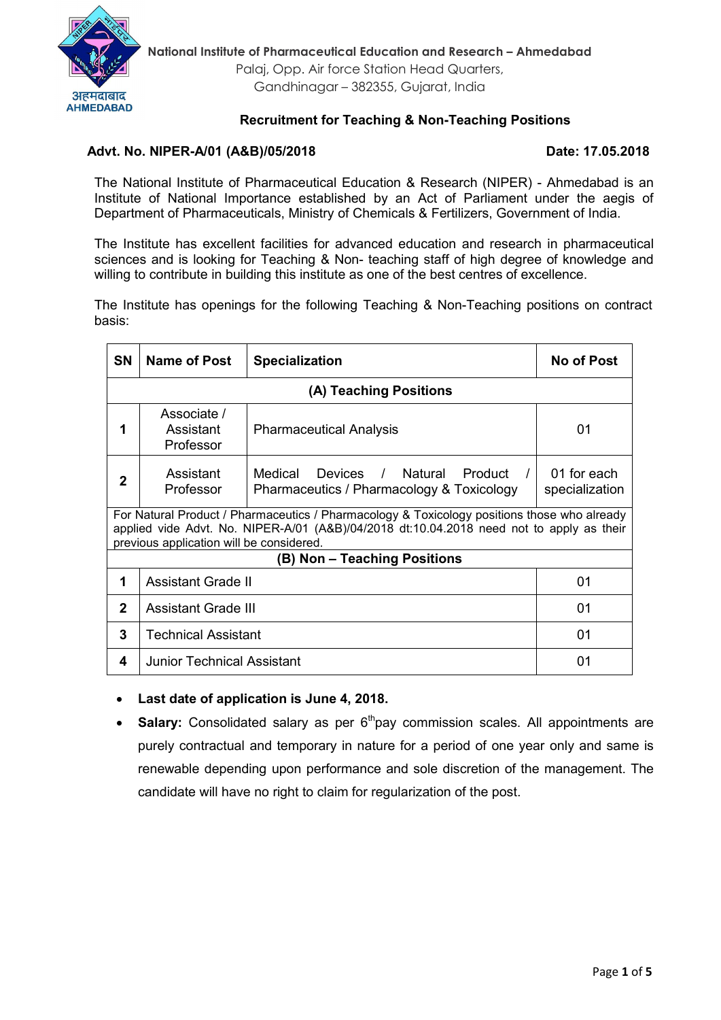

# Recruitment for Teaching & Non-Teaching Positions

### Advt. No. NIPER-A/01 (A&B)/05/2018 Date: 17.05.2018

The National Institute of Pharmaceutical Education & Research (NIPER) - Ahmedabad is an Institute of National Importance established by an Act of Parliament under the aegis of Department of Pharmaceuticals, Ministry of Chemicals & Fertilizers, Government of India.

The Institute has excellent facilities for advanced education and research in pharmaceutical sciences and is looking for Teaching & Non- teaching staff of high degree of knowledge and willing to contribute in building this institute as one of the best centres of excellence.

The Institute has openings for the following Teaching & Non-Teaching positions on contract basis:

| <b>SN</b>                                                                                                                                                                                                                           | Name of Post                          | <b>Specialization</b>                                                                                           | <b>No of Post</b>             |
|-------------------------------------------------------------------------------------------------------------------------------------------------------------------------------------------------------------------------------------|---------------------------------------|-----------------------------------------------------------------------------------------------------------------|-------------------------------|
| (A) Teaching Positions                                                                                                                                                                                                              |                                       |                                                                                                                 |                               |
| 1                                                                                                                                                                                                                                   | Associate /<br>Assistant<br>Professor | <b>Pharmaceutical Analysis</b>                                                                                  | 01                            |
| 2                                                                                                                                                                                                                                   | Assistant<br>Professor                | Medical<br><b>Devices</b><br>Natural<br>Product /<br>$\frac{1}{2}$<br>Pharmaceutics / Pharmacology & Toxicology | 01 for each<br>specialization |
| For Natural Product / Pharmaceutics / Pharmacology & Toxicology positions those who already<br>applied vide Advt. No. NIPER-A/01 (A&B)/04/2018 dt:10.04.2018 need not to apply as their<br>previous application will be considered. |                                       |                                                                                                                 |                               |
| (B) Non - Teaching Positions                                                                                                                                                                                                        |                                       |                                                                                                                 |                               |
| 1                                                                                                                                                                                                                                   | <b>Assistant Grade II</b>             |                                                                                                                 | 01                            |
| $\mathbf 2$                                                                                                                                                                                                                         | <b>Assistant Grade III</b>            |                                                                                                                 | 01                            |
| 3                                                                                                                                                                                                                                   | Technical Assistant                   |                                                                                                                 | 01                            |
| 4                                                                                                                                                                                                                                   | <b>Junior Technical Assistant</b>     |                                                                                                                 | 01                            |

Last date of application is June 4, 2018.

**Salary:** Consolidated salary as per  $6<sup>th</sup>$ pay commission scales. All appointments are purely contractual and temporary in nature for a period of one year only and same is renewable depending upon performance and sole discretion of the management. The candidate will have no right to claim for regularization of the post.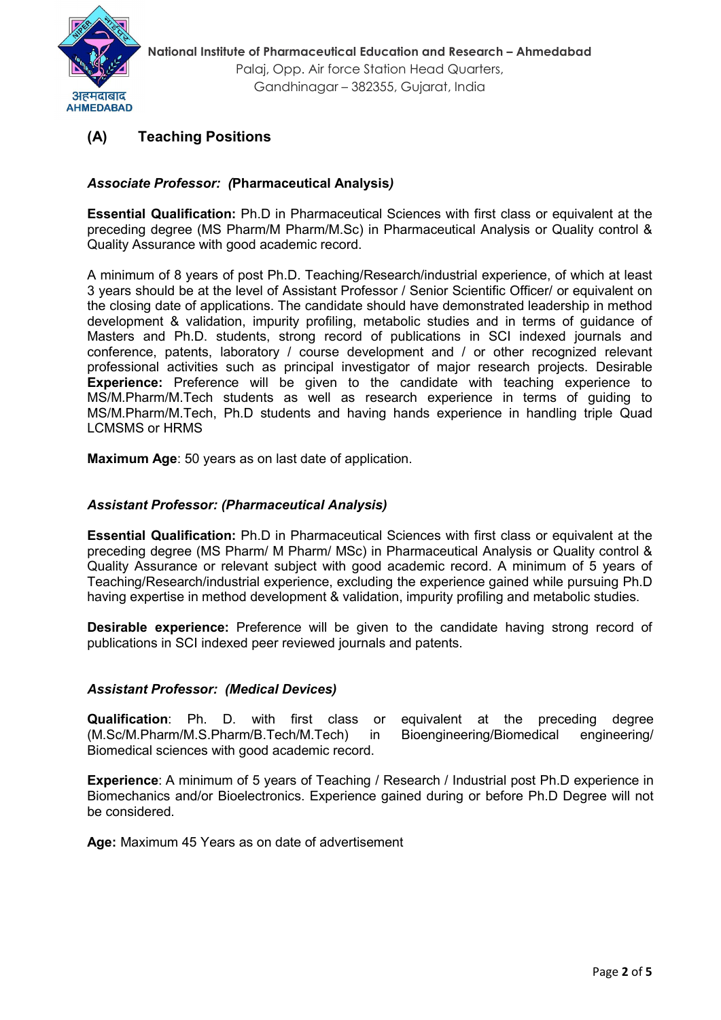

# (A) Teaching Positions

# *Associate Professor: (*Pharmaceutical Analysis*)*

Essential Qualification: Ph.D in Pharmaceutical Sciences with first class or equivalent at the preceding degree (MS Pharm/M Pharm/M.Sc) in Pharmaceutical Analysis or Quality control & Quality Assurance with good academic record.

A minimum of 8 years of post Ph.D. Teaching/Research/industrial experience, of which at least 3 years should be at the level of Assistant Professor / Senior Scientific Officer/ or equivalent on the closing date of applications. The candidate should have demonstrated leadership in method development & validation, impurity profiling, metabolic studies and in terms of guidance of Masters and Ph.D. students, strong record of publications in SCI indexed journals and conference, patents, laboratory / course development and / or other recognized relevant professional activities such as principal investigator of major research projects. Desirable Experience: Preference will be given to the candidate with teaching experience to MS/M.Pharm/M.Tech students as well as research experience in terms of guiding to MS/M.Pharm/M.Tech, Ph.D students and having hands experience in handling triple Quad LCMSMS or HRMS

Maximum Age: 50 years as on last date of application.

## *Assistant Professor: (Pharmaceutical Analysis)*

Essential Qualification: Ph.D in Pharmaceutical Sciences with first class or equivalent at the preceding degree (MS Pharm/ M Pharm/ MSc) in Pharmaceutical Analysis or Quality control & Quality Assurance or relevant subject with good academic record. A minimum of 5 years of Teaching/Research/industrial experience, excluding the experience gained while pursuing Ph.D having expertise in method development & validation, impurity profiling and metabolic studies.

**Desirable experience:** Preference will be given to the candidate having strong record of publications in SCI indexed peer reviewed journals and patents.

#### *Assistant Professor: (Medical Devices)*

Qualification: Ph. D. with first class or equivalent at the preceding degree (M.Sc/M.Pharm/M.S.Pharm/B.Tech/M.Tech) in Bioengineering/Biomedical engineering/ Biomedical sciences with good academic record.

Experience: A minimum of 5 years of Teaching / Research / Industrial post Ph.D experience in Biomechanics and/or Bioelectronics. Experience gained during or before Ph.D Degree will not be considered.

Age: Maximum 45 Years as on date of advertisement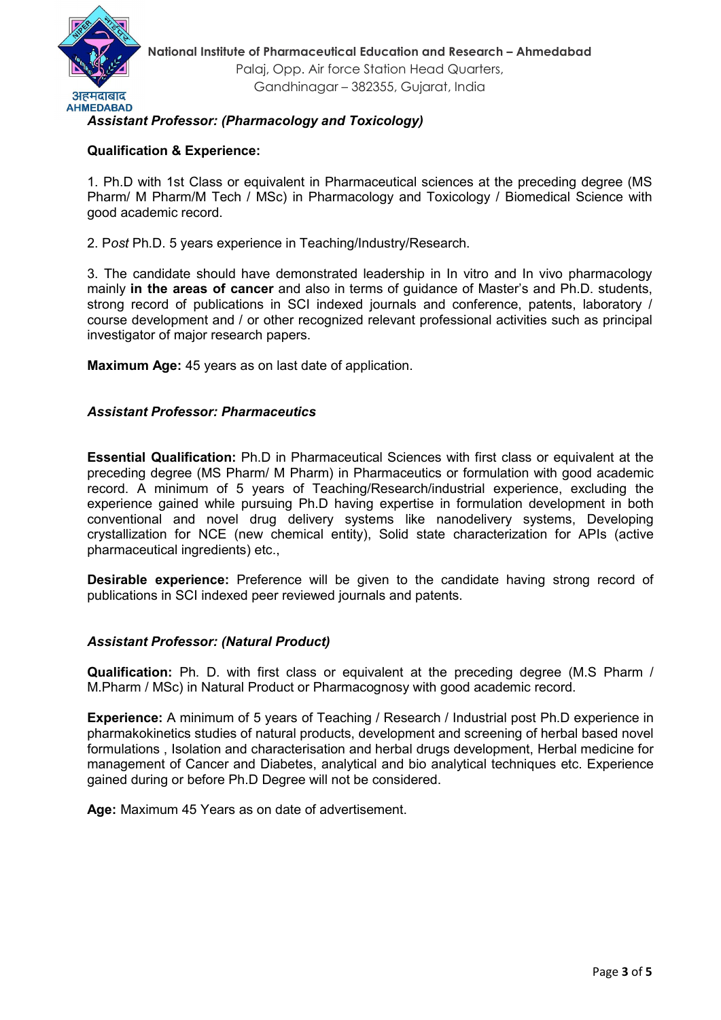

# *Assistant Professor: (Pharmacology and Toxicology)*

### Qualification & Experience:

1. Ph.D with 1st Class or equivalent in Pharmaceutical sciences at the preceding degree (MS Pharm/ M Pharm/M Tech / MSc) in Pharmacology and Toxicology / Biomedical Science with good academic record.

2. P*ost* Ph.D. 5 years experience in Teaching/Industry/Research.

3. The candidate should have demonstrated leadership in In vitro and In vivo pharmacology mainly **in the areas of cancer** and also in terms of quidance of Master's and Ph.D. students, strong record of publications in SCI indexed journals and conference, patents, laboratory / course development and / or other recognized relevant professional activities such as principal investigator of major research papers.

Maximum Age: 45 years as on last date of application.

#### *Assistant Professor: Pharmaceutics*

Essential Qualification: Ph.D in Pharmaceutical Sciences with first class or equivalent at the preceding degree (MS Pharm/ M Pharm) in Pharmaceutics or formulation with good academic record. A minimum of 5 years of Teaching/Research/industrial experience, excluding the experience gained while pursuing Ph.D having expertise in formulation development in both conventional and novel drug delivery systems like nanodelivery systems, Developing crystallization for NCE (new chemical entity), Solid state characterization for APIs (active pharmaceutical ingredients) etc.,

Desirable experience: Preference will be given to the candidate having strong record of publications in SCI indexed peer reviewed journals and patents.

#### *Assistant Professor: (Natural Product)*

Qualification: Ph. D. with first class or equivalent at the preceding degree (M.S Pharm / M.Pharm / MSc) in Natural Product or Pharmacognosy with good academic record.

Experience: A minimum of 5 years of Teaching / Research / Industrial post Ph.D experience in pharmakokinetics studies of natural products, development and screening of herbal based novel formulations , Isolation and characterisation and herbal drugs development, Herbal medicine for management of Cancer and Diabetes, analytical and bio analytical techniques etc. Experience gained during or before Ph.D Degree will not be considered.

Age: Maximum 45 Years as on date of advertisement.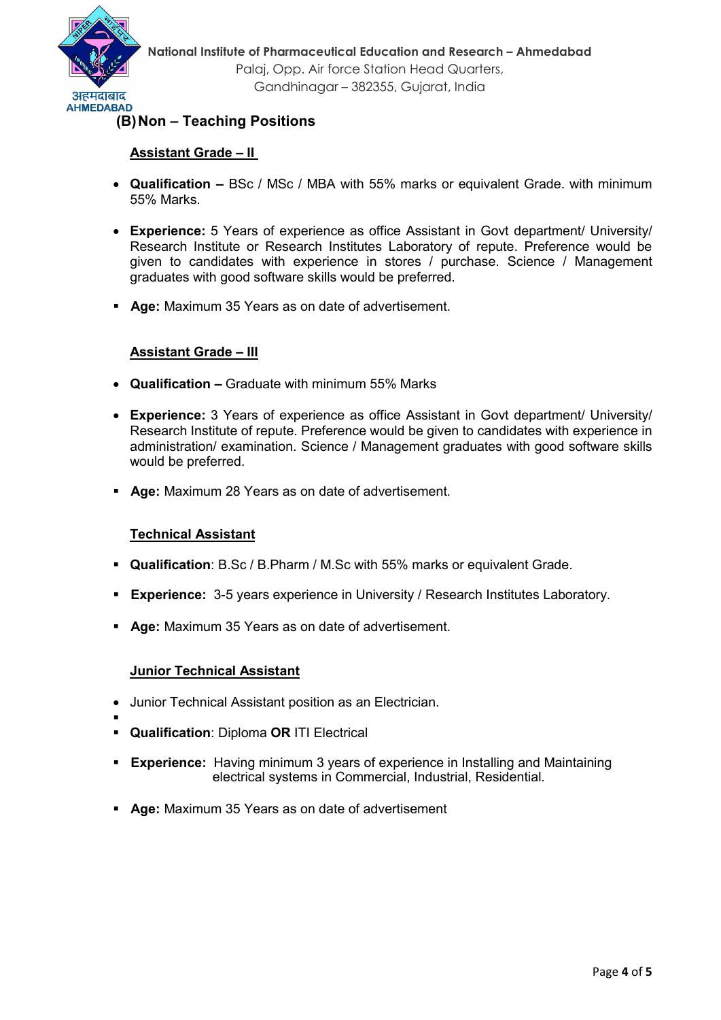

# (B)Non – Teaching Positions

#### Assistant Grade – II

- Qualification BSc / MSc / MBA with 55% marks or equivalent Grade. with minimum 55% Marks.
- Experience: 5 Years of experience as office Assistant in Govt department/ University/ Research Institute or Research Institutes Laboratory of repute. Preference would be given to candidates with experience in stores / purchase. Science / Management graduates with good software skills would be preferred.
- **Age:** Maximum 35 Years as on date of advertisement.

### Assistant Grade – III

- Qualification Graduate with minimum 55% Marks
- Experience: 3 Years of experience as office Assistant in Govt department/ University/ Research Institute of repute. Preference would be given to candidates with experience in administration/ examination. Science / Management graduates with good software skills would be preferred.
- Age: Maximum 28 Years as on date of advertisement.

#### Technical Assistant

- Qualification: B.Sc / B.Pharm / M.Sc with 55% marks or equivalent Grade.
- **Experience:** 3-5 years experience in University / Research Institutes Laboratory.
- **Age:** Maximum 35 Years as on date of advertisement.

#### Junior Technical Assistant

- Junior Technical Assistant position as an Electrician.
- . **Qualification: Diploma OR ITI Electrical**
- Experience: Having minimum 3 years of experience in Installing and Maintaining electrical systems in Commercial, Industrial, Residential.
- Age: Maximum 35 Years as on date of advertisement